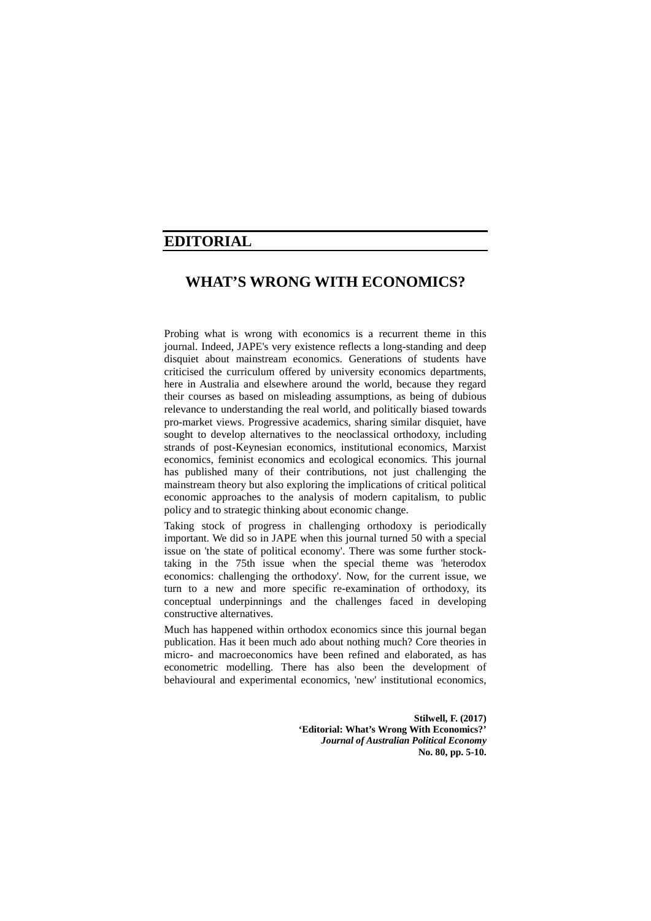# **EDITORIAL**

# **WHAT'S WRONG WITH ECONOMICS?**

Probing what is wrong with economics is a recurrent theme in this journal. Indeed, JAPE's very existence reflects a long-standing and deep disquiet about mainstream economics. Generations of students have criticised the curriculum offered by university economics departments, here in Australia and elsewhere around the world, because they regard their courses as based on misleading assumptions, as being of dubious relevance to understanding the real world, and politically biased towards pro-market views. Progressive academics, sharing similar disquiet, have sought to develop alternatives to the neoclassical orthodoxy, including strands of post-Keynesian economics, institutional economics, Marxist economics, feminist economics and ecological economics. This journal has published many of their contributions, not just challenging the mainstream theory but also exploring the implications of critical political economic approaches to the analysis of modern capitalism, to public policy and to strategic thinking about economic change.

Taking stock of progress in challenging orthodoxy is periodically important. We did so in JAPE when this journal turned 50 with a special issue on 'the state of political economy'. There was some further stocktaking in the 75th issue when the special theme was 'heterodox economics: challenging the orthodoxy'. Now, for the current issue, we turn to a new and more specific re-examination of orthodoxy, its conceptual underpinnings and the challenges faced in developing constructive alternatives.

Much has happened within orthodox economics since this journal began publication. Has it been much ado about nothing much? Core theories in micro- and macroeconomics have been refined and elaborated, as has econometric modelling. There has also been the development of behavioural and experimental economics, 'new' institutional economics,

> **Stilwell, F. (2017) 'Editorial: What's Wrong With Economics?'**  *Journal of Australian Political Economy* **No. 80, pp. 5-10.**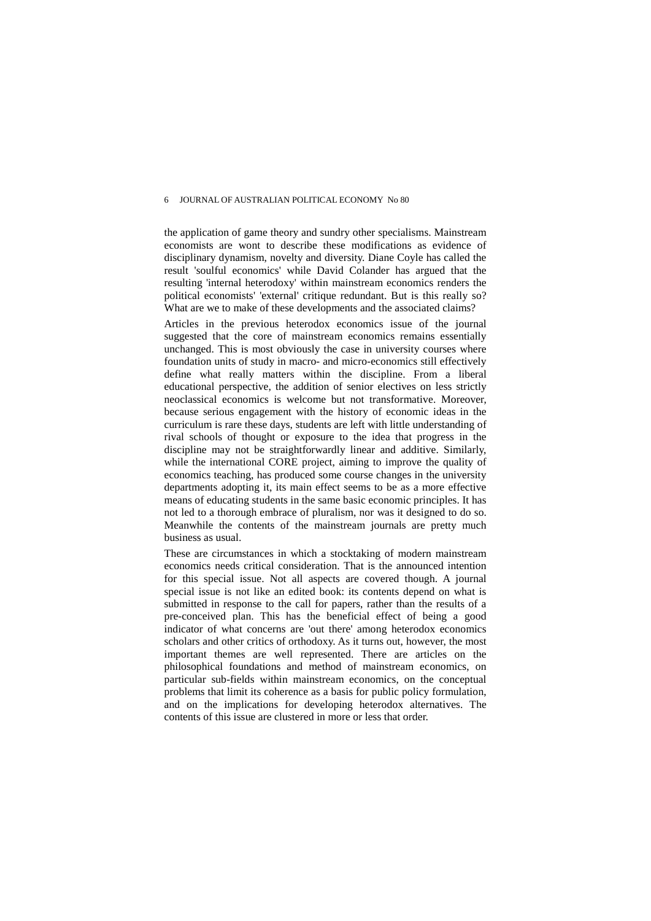#### 6 JOURNAL OF AUSTRALIAN POLITICAL ECONOMY No 80

the application of game theory and sundry other specialisms. Mainstream economists are wont to describe these modifications as evidence of disciplinary dynamism, novelty and diversity. Diane Coyle has called the result 'soulful economics' while David Colander has argued that the resulting 'internal heterodoxy' within mainstream economics renders the political economists' 'external' critique redundant. But is this really so? What are we to make of these developments and the associated claims?

Articles in the previous heterodox economics issue of the journal suggested that the core of mainstream economics remains essentially unchanged. This is most obviously the case in university courses where foundation units of study in macro- and micro-economics still effectively define what really matters within the discipline. From a liberal educational perspective, the addition of senior electives on less strictly neoclassical economics is welcome but not transformative. Moreover, because serious engagement with the history of economic ideas in the curriculum is rare these days, students are left with little understanding of rival schools of thought or exposure to the idea that progress in the discipline may not be straightforwardly linear and additive. Similarly, while the international CORE project, aiming to improve the quality of economics teaching, has produced some course changes in the university departments adopting it, its main effect seems to be as a more effective means of educating students in the same basic economic principles. It has not led to a thorough embrace of pluralism, nor was it designed to do so. Meanwhile the contents of the mainstream journals are pretty much business as usual.

These are circumstances in which a stocktaking of modern mainstream economics needs critical consideration. That is the announced intention for this special issue. Not all aspects are covered though. A journal special issue is not like an edited book: its contents depend on what is submitted in response to the call for papers, rather than the results of a pre-conceived plan. This has the beneficial effect of being a good indicator of what concerns are 'out there' among heterodox economics scholars and other critics of orthodoxy. As it turns out, however, the most important themes are well represented. There are articles on the philosophical foundations and method of mainstream economics, on particular sub-fields within mainstream economics, on the conceptual problems that limit its coherence as a basis for public policy formulation, and on the implications for developing heterodox alternatives. The contents of this issue are clustered in more or less that order.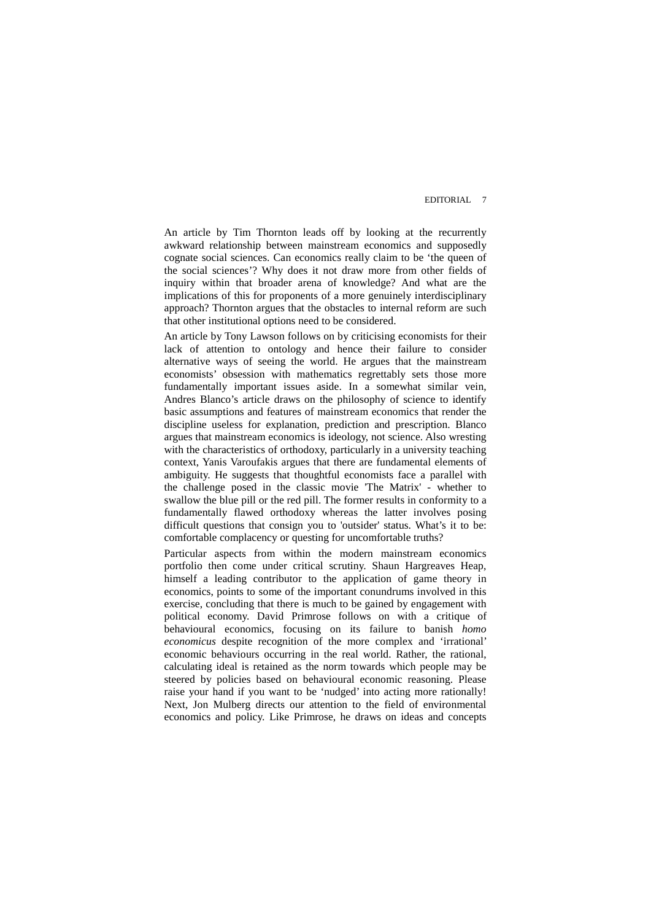## EDITORIAL 7

An article by Tim Thornton leads off by looking at the recurrently awkward relationship between mainstream economics and supposedly cognate social sciences. Can economics really claim to be 'the queen of the social sciences'? Why does it not draw more from other fields of inquiry within that broader arena of knowledge? And what are the implications of this for proponents of a more genuinely interdisciplinary approach? Thornton argues that the obstacles to internal reform are such that other institutional options need to be considered.

An article by Tony Lawson follows on by criticising economists for their lack of attention to ontology and hence their failure to consider alternative ways of seeing the world. He argues that the mainstream economists' obsession with mathematics regrettably sets those more fundamentally important issues aside. In a somewhat similar vein, Andres Blanco's article draws on the philosophy of science to identify basic assumptions and features of mainstream economics that render the discipline useless for explanation, prediction and prescription. Blanco argues that mainstream economics is ideology, not science. Also wresting with the characteristics of orthodoxy, particularly in a university teaching context, Yanis Varoufakis argues that there are fundamental elements of ambiguity. He suggests that thoughtful economists face a parallel with the challenge posed in the classic movie 'The Matrix' - whether to swallow the blue pill or the red pill. The former results in conformity to a fundamentally flawed orthodoxy whereas the latter involves posing difficult questions that consign you to 'outsider' status. What's it to be: comfortable complacency or questing for uncomfortable truths?

Particular aspects from within the modern mainstream economics portfolio then come under critical scrutiny. Shaun Hargreaves Heap, himself a leading contributor to the application of game theory in economics, points to some of the important conundrums involved in this exercise, concluding that there is much to be gained by engagement with political economy. David Primrose follows on with a critique of behavioural economics, focusing on its failure to banish *homo economicus* despite recognition of the more complex and 'irrational' economic behaviours occurring in the real world. Rather, the rational, calculating ideal is retained as the norm towards which people may be steered by policies based on behavioural economic reasoning. Please raise your hand if you want to be 'nudged' into acting more rationally! Next, Jon Mulberg directs our attention to the field of environmental economics and policy. Like Primrose, he draws on ideas and concepts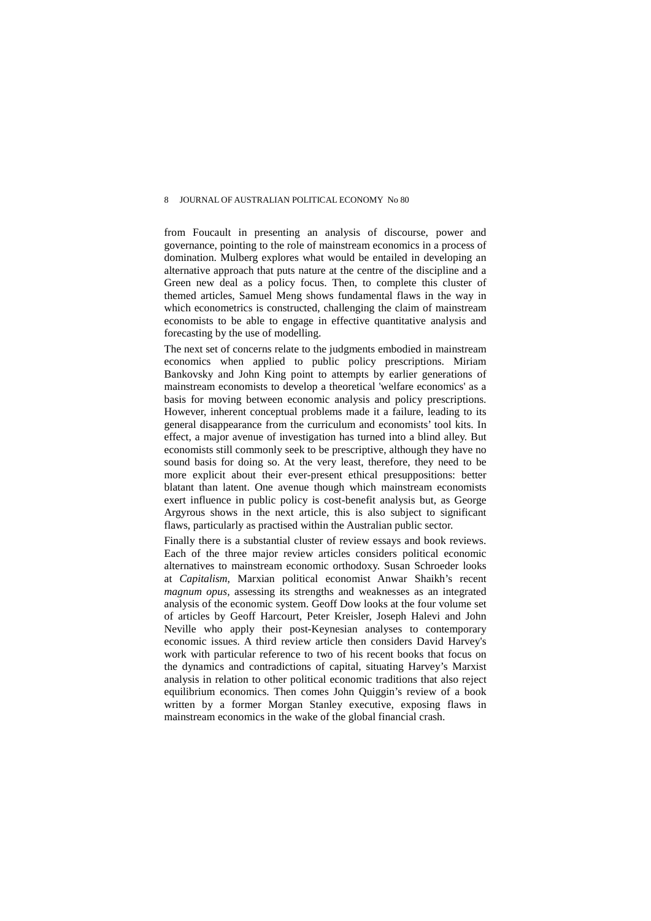#### 8 JOURNAL OF AUSTRALIAN POLITICAL ECONOMY No 80

from Foucault in presenting an analysis of discourse, power and governance, pointing to the role of mainstream economics in a process of domination. Mulberg explores what would be entailed in developing an alternative approach that puts nature at the centre of the discipline and a Green new deal as a policy focus. Then, to complete this cluster of themed articles, Samuel Meng shows fundamental flaws in the way in which econometrics is constructed, challenging the claim of mainstream economists to be able to engage in effective quantitative analysis and forecasting by the use of modelling.

The next set of concerns relate to the judgments embodied in mainstream economics when applied to public policy prescriptions. Miriam Bankovsky and John King point to attempts by earlier generations of mainstream economists to develop a theoretical 'welfare economics' as a basis for moving between economic analysis and policy prescriptions. However, inherent conceptual problems made it a failure, leading to its general disappearance from the curriculum and economists' tool kits. In effect, a major avenue of investigation has turned into a blind alley. But economists still commonly seek to be prescriptive, although they have no sound basis for doing so. At the very least, therefore, they need to be more explicit about their ever-present ethical presuppositions: better blatant than latent. One avenue though which mainstream economists exert influence in public policy is cost-benefit analysis but, as George Argyrous shows in the next article, this is also subject to significant flaws, particularly as practised within the Australian public sector.

Finally there is a substantial cluster of review essays and book reviews. Each of the three major review articles considers political economic alternatives to mainstream economic orthodoxy. Susan Schroeder looks at *Capitalism*, Marxian political economist Anwar Shaikh's recent *magnum opus,* assessing its strengths and weaknesses as an integrated analysis of the economic system. Geoff Dow looks at the four volume set of articles by Geoff Harcourt, Peter Kreisler, Joseph Halevi and John Neville who apply their post-Keynesian analyses to contemporary economic issues. A third review article then considers David Harvey's work with particular reference to two of his recent books that focus on the dynamics and contradictions of capital, situating Harvey's Marxist analysis in relation to other political economic traditions that also reject equilibrium economics. Then comes John Quiggin's review of a book written by a former Morgan Stanley executive, exposing flaws in mainstream economics in the wake of the global financial crash.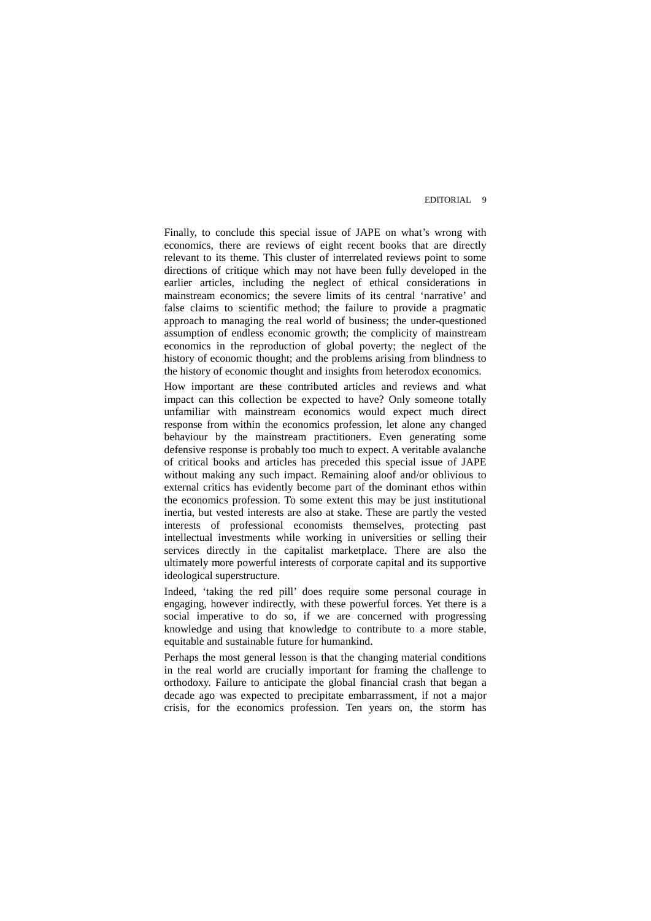## EDITORIAL 9

Finally, to conclude this special issue of JAPE on what's wrong with economics, there are reviews of eight recent books that are directly relevant to its theme. This cluster of interrelated reviews point to some directions of critique which may not have been fully developed in the earlier articles, including the neglect of ethical considerations in mainstream economics; the severe limits of its central 'narrative' and false claims to scientific method; the failure to provide a pragmatic approach to managing the real world of business; the under-questioned assumption of endless economic growth; the complicity of mainstream economics in the reproduction of global poverty; the neglect of the history of economic thought; and the problems arising from blindness to the history of economic thought and insights from heterodox economics.

How important are these contributed articles and reviews and what impact can this collection be expected to have? Only someone totally unfamiliar with mainstream economics would expect much direct response from within the economics profession, let alone any changed behaviour by the mainstream practitioners. Even generating some defensive response is probably too much to expect. A veritable avalanche of critical books and articles has preceded this special issue of JAPE without making any such impact. Remaining aloof and/or oblivious to external critics has evidently become part of the dominant ethos within the economics profession. To some extent this may be just institutional inertia, but vested interests are also at stake. These are partly the vested interests of professional economists themselves, protecting past intellectual investments while working in universities or selling their services directly in the capitalist marketplace. There are also the ultimately more powerful interests of corporate capital and its supportive ideological superstructure.

Indeed, 'taking the red pill' does require some personal courage in engaging, however indirectly, with these powerful forces. Yet there is a social imperative to do so, if we are concerned with progressing knowledge and using that knowledge to contribute to a more stable, equitable and sustainable future for humankind.

Perhaps the most general lesson is that the changing material conditions in the real world are crucially important for framing the challenge to orthodoxy. Failure to anticipate the global financial crash that began a decade ago was expected to precipitate embarrassment, if not a major crisis, for the economics profession. Ten years on, the storm has